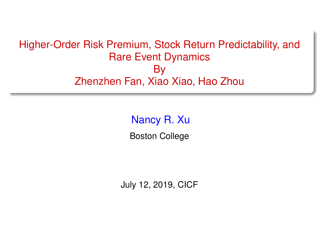### <span id="page-0-0"></span>Higher-Order Risk Premium, Stock Return Predictability, and Rare Event Dynamics By Zhenzhen Fan, Xiao Xiao, Hao Zhou

Nancy R. Xu

Boston College

July 12, 2019, CICF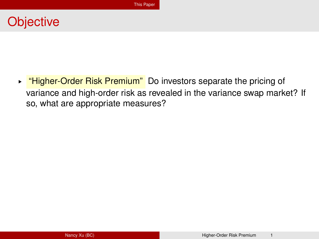### <span id="page-1-0"></span>**Objective**

► "Higher-Order Risk Premium" Do investors separate the pricing of variance and high-order risk as revealed in the variance swap market? If so, what are appropriate measures?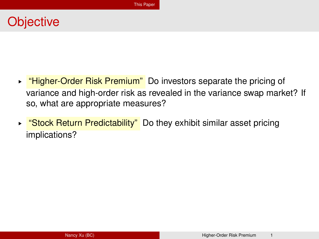## **Objective**

- ► "Higher-Order Risk Premium" Do investors separate the pricing of variance and high-order risk as revealed in the variance swap market? If so, what are appropriate measures?
- ► "Stock Return Predictability" Do they exhibit similar asset pricing implications?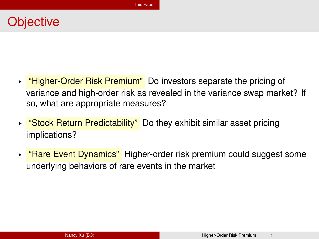## **Objective**

- ► "Higher-Order Risk Premium" Do investors separate the pricing of variance and high-order risk as revealed in the variance swap market? If so, what are appropriate measures?
- ► "Stock Return Predictability" Do they exhibit similar asset pricing implications?
- ► "Rare Event Dynamics" Higher-order risk premium could suggest some underlying behaviors of rare events in the market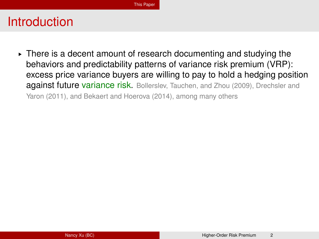► There is a decent amount of research documenting and studying the behaviors and predictability patterns of variance risk premium (VRP): excess price variance buyers are willing to pay to hold a hedging position against future variance risk. Bollerslev, Tauchen, and Zhou (2009), Drechsler and Yaron (2011), and Bekaert and Hoerova (2014), among many others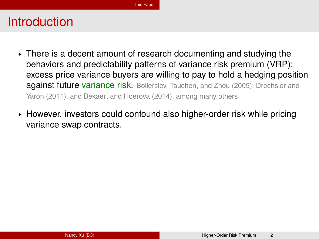- ► There is a decent amount of research documenting and studying the behaviors and predictability patterns of variance risk premium (VRP): excess price variance buyers are willing to pay to hold a hedging position against future variance risk. Bollerslev, Tauchen, and Zhou (2009), Drechsler and Yaron (2011), and Bekaert and Hoerova (2014), among many others
- ► However, investors could confound also higher-order risk while pricing variance swap contracts.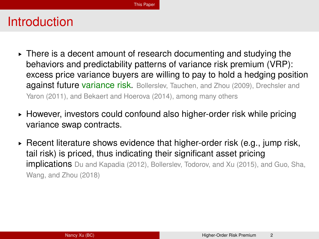- ► There is a decent amount of research documenting and studying the behaviors and predictability patterns of variance risk premium (VRP): excess price variance buyers are willing to pay to hold a hedging position against future variance risk. Bollerslev, Tauchen, and Zhou (2009), Drechsler and Yaron (2011), and Bekaert and Hoerova (2014), among many others
- ► However, investors could confound also higher-order risk while pricing variance swap contracts.
- $\triangleright$  Recent literature shows evidence that higher-order risk (e.g., jump risk, tail risk) is priced, thus indicating their significant asset pricing implications Du and Kapadia (2012), Bollerslev, Todorov, and Xu (2015), and Guo, Sha, Wang, and Zhou (2018)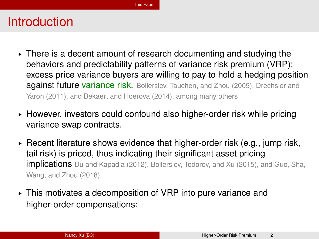- ► There is a decent amount of research documenting and studying the behaviors and predictability patterns of variance risk premium (VRP): excess price variance buyers are willing to pay to hold a hedging position against future variance risk. Bollerslev, Tauchen, and Zhou (2009), Drechsler and Yaron (2011), and Bekaert and Hoerova (2014), among many others
- ► However, investors could confound also higher-order risk while pricing variance swap contracts.
- $\triangleright$  Recent literature shows evidence that higher-order risk (e.g., jump risk, tail risk) is priced, thus indicating their significant asset pricing implications Du and Kapadia (2012), Bollerslev, Todorov, and Xu (2015), and Guo, Sha, Wang, and Zhou (2018)
- § This motivates a decomposition of VRP into pure variance and higher-order compensations: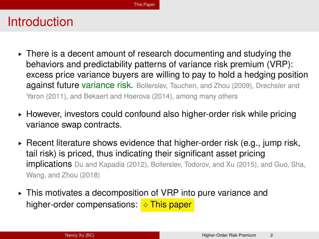- ► There is a decent amount of research documenting and studying the behaviors and predictability patterns of variance risk premium (VRP): excess price variance buyers are willing to pay to hold a hedging position against future variance risk. Bollerslev, Tauchen, and Zhou (2009), Drechsler and Yaron (2011), and Bekaert and Hoerova (2014), among many others
- ► However, investors could confound also higher-order risk while pricing variance swap contracts.
- $\triangleright$  Recent literature shows evidence that higher-order risk (e.g., jump risk, tail risk) is priced, thus indicating their significant asset pricing implications Du and Kapadia (2012), Bollerslev, Todorov, and Xu (2015), and Guo, Sha, Wang, and Zhou (2018)
- § This motivates a decomposition of VRP into pure variance and higher-order compensations:  $\Diamond$  This paper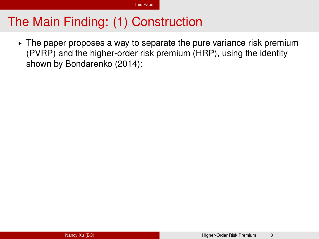# The Main Finding: (1) Construction

 $\triangleright$  The paper proposes a way to separate the pure variance risk premium (PVRP) and the higher-order risk premium (HRP), using the identity shown by Bondarenko (2014):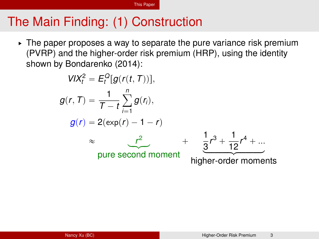[This Paper](#page-1-0)

# The Main Finding: (1) Construction

 $\triangleright$  The paper proposes a way to separate the pure variance risk premium (PVRP) and the higher-order risk premium (HRP), using the identity shown by Bondarenko (2014):

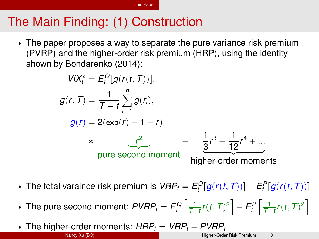[This Paper](#page-1-0)

# The Main Finding: (1) Construction

 $\triangleright$  The paper proposes a way to separate the pure variance risk premium (PVRP) and the higher-order risk premium (HRP), using the identity shown by Bondarenko (2014):



- ▶ The total varaince risk premium is  $VRP_t = E_t^Q[g(r(t,T))] E_t^P[g(r(t,T))]$
- ▶ The pure second moment:  $PVRP_t = E_t^Q \left| \frac{1}{T-t} r(t, T)^2 \right| E_t^P \left| \frac{1}{T-t} r(t, T)^2 \right|$ " ı " ı
- $\blacktriangleright$  The higher-order moments:  $HRP_t = VRP_t PVRP_t$ Nancy Xu (BC) **[Higher-Order Risk Premium](#page-0-0)** 3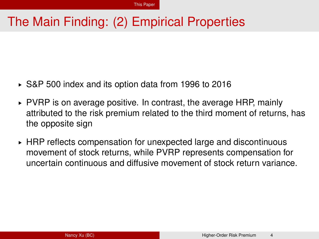# The Main Finding: (2) Empirical Properties

- § S&P 500 index and its option data from 1996 to 2016
- $\triangleright$  PVRP is on average positive. In contrast, the average HRP, mainly attributed to the risk premium related to the third moment of returns, has the opposite sign
- ► HRP reflects compensation for unexpected large and discontinuous movement of stock returns, while PVRP represents compensation for uncertain continuous and diffusive movement of stock return variance.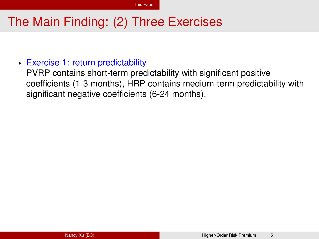# The Main Finding: (2) Three Exercises

#### § Exercise 1: return predictability

PVRP contains short-term predictability with significant positive coefficients (1-3 months), HRP contains medium-term predictability with significant negative coefficients (6-24 months).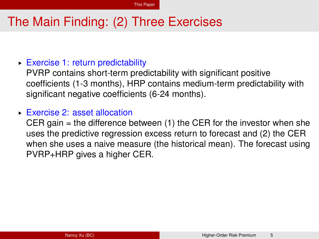# The Main Finding: (2) Three Exercises

#### § Exercise 1: return predictability

PVRP contains short-term predictability with significant positive coefficients (1-3 months), HRP contains medium-term predictability with significant negative coefficients (6-24 months).

#### § Exercise 2: asset allocation

CER gain  $=$  the difference between (1) the CER for the investor when she uses the predictive regression excess return to forecast and (2) the CER when she uses a naive measure (the historical mean). The forecast using PVRP+HRP gives a higher CER.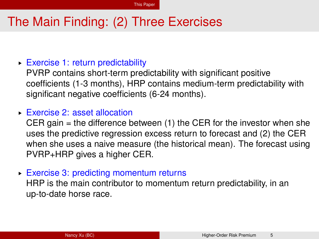# The Main Finding: (2) Three Exercises

#### § Exercise 1: return predictability

PVRP contains short-term predictability with significant positive coefficients (1-3 months), HRP contains medium-term predictability with significant negative coefficients (6-24 months).

#### § Exercise 2: asset allocation

CER gain  $=$  the difference between (1) the CER for the investor when she uses the predictive regression excess return to forecast and (2) the CER when she uses a naive measure (the historical mean). The forecast using PVRP+HRP gives a higher CER.

§ Exercise 3: predicting momentum returns

HRP is the main contributor to momentum return predictability, in an up-to-date horse race.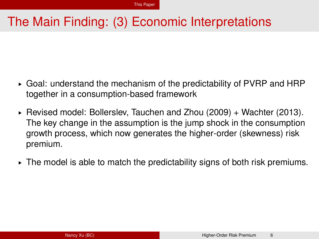# The Main Finding: (3) Economic Interpretations

- $\triangleright$  Goal: understand the mechanism of the predictability of PVRP and HRP together in a consumption-based framework
- § Revised model: Bollerslev, Tauchen and Zhou (2009) + Wachter (2013). The key change in the assumption is the jump shock in the consumption growth process, which now generates the higher-order (skewness) risk premium.
- $\triangleright$  The model is able to match the predictability signs of both risk premiums.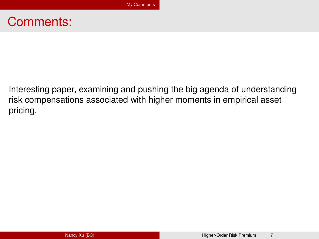### <span id="page-17-0"></span>Comments:

Interesting paper, examining and pushing the big agenda of understanding risk compensations associated with higher moments in empirical asset pricing.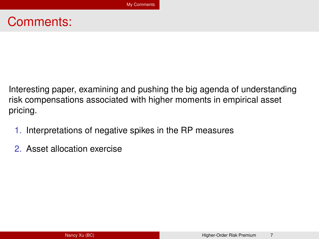### Comments:

Interesting paper, examining and pushing the big agenda of understanding risk compensations associated with higher moments in empirical asset pricing.

- 1. Interpretations of negative spikes in the RP measures
- 2. Asset allocation exercise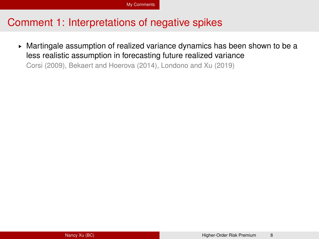#### Comment 1: Interpretations of negative spikes

► Martingale assumption of realized variance dynamics has been shown to be a less realistic assumption in forecasting future realized variance

Corsi (2009), Bekaert and Hoerova (2014), Londono and Xu (2019)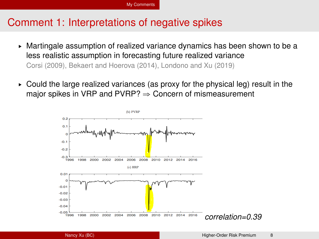#### Comment 1: Interpretations of negative spikes

- ► Martingale assumption of realized variance dynamics has been shown to be a less realistic assumption in forecasting future realized variance Corsi (2009), Bekaert and Hoerova (2014), Londono and Xu (2019)
- $\triangleright$  Could the large realized variances (as proxy for the physical leg) result in the major spikes in VRP and PVRP?  $\Rightarrow$  Concern of mismeasurement

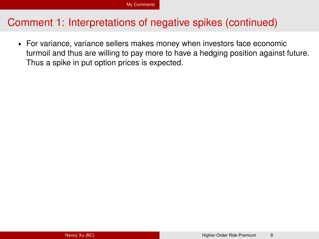#### Comment 1: Interpretations of negative spikes (continued)

§ For variance, variance sellers makes money when investors face economic turmoil and thus are willing to pay more to have a hedging position against future. Thus a spike in put option prices is expected.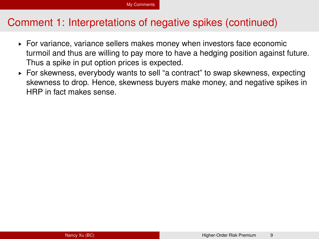#### Comment 1: Interpretations of negative spikes (continued)

- § For variance, variance sellers makes money when investors face economic turmoil and thus are willing to pay more to have a hedging position against future. Thus a spike in put option prices is expected.
- § For skewness, everybody wants to sell "a contract" to swap skewness, expecting skewness to drop. Hence, skewness buyers make money, and negative spikes in HRP in fact makes sense.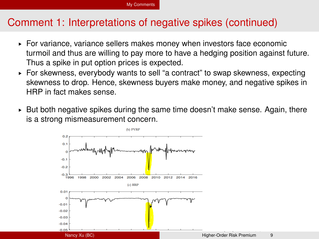### Comment 1: Interpretations of negative spikes (continued)

- § For variance, variance sellers makes money when investors face economic turmoil and thus are willing to pay more to have a hedging position against future. Thus a spike in put option prices is expected.
- § For skewness, everybody wants to sell "a contract" to swap skewness, expecting skewness to drop. Hence, skewness buyers make money, and negative spikes in HRP in fact makes sense.
- $\triangleright$  But both negative spikes during the same time doesn't make sense. Again, there is a strong mismeasurement concern.

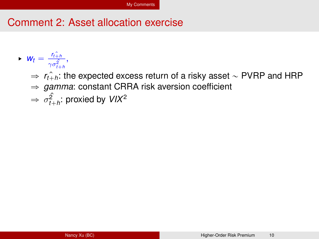### Comment 2: Asset allocation exercise

- $\blacktriangleright \blacktriangleright \blacktriangleright \blacktriangleright \blacktriangleright \blacktriangleleft t$  $\frac{t+h}{\gamma \sigma_{t+h}^2},$ 
	- $\Rightarrow$   $r_{i+h}$ : the expected excess return of a risky asset  $\sim$  PVRP and HRP
	- $\Rightarrow$  *gamma*: constant CRRA risk aversion coefficient
	- $\Rightarrow \sigma_{t+h}^2$ : proxied by *VIX*<sup>2</sup>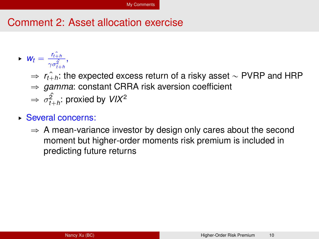### Comment 2: Asset allocation exercise

- $\blacktriangleright \blacktriangleright \blacktriangleright \blacktriangleright \blacktriangleright \blacktriangleleft t$  $\frac{t+h}{\gamma \sigma_{t+h}^2},$ 
	- $\Rightarrow$   $r_{t+h}$ : the expected excess return of a risky asset  $\sim$  PVRP and HRP
	- $\Rightarrow$  *gamma*: constant CRRA risk aversion coefficient
	- $\Rightarrow \sigma_{t+h}^2$ : proxied by *VIX*<sup>2</sup>
- § Several concerns:
	- $\Rightarrow$  A mean-variance investor by design only cares about the second moment but higher-order moments risk premium is included in predicting future returns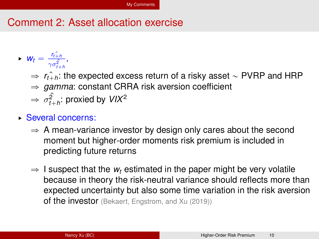### Comment 2: Asset allocation exercise

- $\blacktriangleright \blacktriangleright \blacktriangleright \blacktriangleright \blacktriangleright \blacktriangleleft t$  $\frac{t+h}{\gamma \sigma_{t+h}^2},$ 
	- $\Rightarrow$   $r_{i+h}$ : the expected excess return of a risky asset  $\sim$  PVRP and HRP  $\Rightarrow$  *gamma*: constant CRRA risk aversion coefficient
	- $\Rightarrow \sigma_{t+h}^2$ : proxied by *VIX*<sup>2</sup>
- § Several concerns:
	- $\Rightarrow$  A mean-variance investor by design only cares about the second moment but higher-order moments risk premium is included in predicting future returns
	- $\Rightarrow$  I suspect that the  $w_t$  estimated in the paper might be very volatile because in theory the risk-neutral variance should reflects more than expected uncertainty but also some time variation in the risk aversion of the investor (Bekaert, Engstrom, and Xu (2019))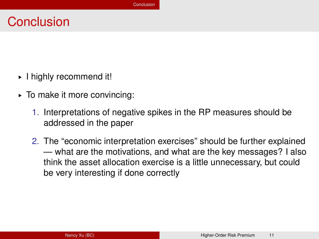# <span id="page-27-0"></span>**Conclusion**

- § I highly recommend it!
- § To make it more convincing:
	- 1. Interpretations of negative spikes in the RP measures should be addressed in the paper
	- 2. The "economic interpretation exercises" should be further explained — what are the motivations, and what are the key messages? I also think the asset allocation exercise is a little unnecessary, but could be very interesting if done correctly